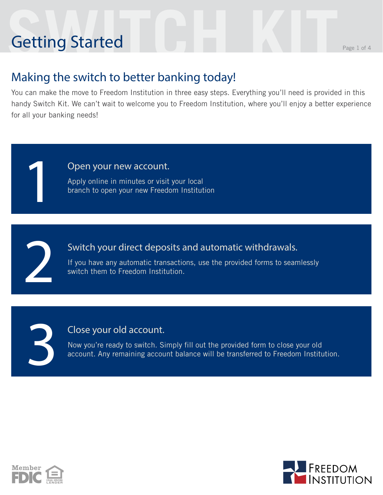# **Setting Started** Getting Started

1

2

3

#### Making the switch to better banking today!

You can make the move to Freedom Institution in three easy steps. Everything you'll need is provided in this handy Switch Kit. We can't wait to welcome you to Freedom Institution, where you'll enjoy a better experience for all your banking needs!

Open your new account.

Apply online in minutes or visit your local branch to open your new Freedom Institution

Switch your direct deposits and automatic withdrawals.

If you have any automatic transactions, use the provided forms to seamlessly switch them to Freedom Institution.

#### Close your old account.

Now you're ready to switch. Simply fill out the provided form to close your old account. Any remaining account balance will be transferred to Freedom Institution.



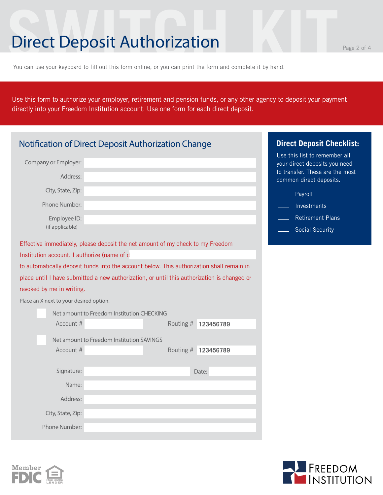### **Direct Deposit Authorization** Page 2 of 4

You can use your keyboard to fill out this form online, or you can print the form and complete it by hand.

Use this form to authorize your employer, retirement and pension funds, or any other agency to deposit your payment directly into your Freedom Institution account. Use one form for each direct deposit.

| Notification of Direct Deposit Authorization Change | <b>Direct Deposit Checklist:</b>                                                            |           |           |                                                                                                   |
|-----------------------------------------------------|---------------------------------------------------------------------------------------------|-----------|-----------|---------------------------------------------------------------------------------------------------|
| Company or Employer:                                |                                                                                             |           |           | Use this list to remember all<br>your direct deposits you need<br>to transfer. These are the most |
| Address:                                            |                                                                                             |           |           | common direct deposits.                                                                           |
| City, State, Zip:                                   |                                                                                             |           |           | Payroll                                                                                           |
| Phone Number:                                       |                                                                                             |           |           | Investments                                                                                       |
| Employee ID:                                        |                                                                                             |           |           | <b>Retirement Plans</b>                                                                           |
| (if applicable)                                     |                                                                                             |           |           | <b>Social Security</b>                                                                            |
|                                                     | Effective immediately, please deposit the net amount of my check to my Freedom              |           |           |                                                                                                   |
| Institution account. I authorize (name of d         |                                                                                             |           |           |                                                                                                   |
|                                                     | to automatically deposit funds into the account below. This authorization shall remain in   |           |           |                                                                                                   |
|                                                     | place until I have submitted a new authorization, or until this authorization is changed or |           |           |                                                                                                   |
| revoked by me in writing.                           |                                                                                             |           |           |                                                                                                   |
| Place an X next to your desired option.             |                                                                                             |           |           |                                                                                                   |
|                                                     | Net amount to Freedom Institution CHECKING                                                  |           |           |                                                                                                   |
| Account #                                           |                                                                                             | Routing # | 123456789 |                                                                                                   |
|                                                     | Net amount to Freedom Institution SAVINGS                                                   |           |           |                                                                                                   |
| Account #                                           |                                                                                             | Routing # | 123456789 |                                                                                                   |
|                                                     |                                                                                             |           |           |                                                                                                   |
| Signature:                                          |                                                                                             |           | Date:     |                                                                                                   |
| Name:                                               |                                                                                             |           |           |                                                                                                   |
| Address:                                            |                                                                                             |           |           |                                                                                                   |
| City, State, Zip:                                   |                                                                                             |           |           |                                                                                                   |
| Phone Number:                                       |                                                                                             |           |           |                                                                                                   |



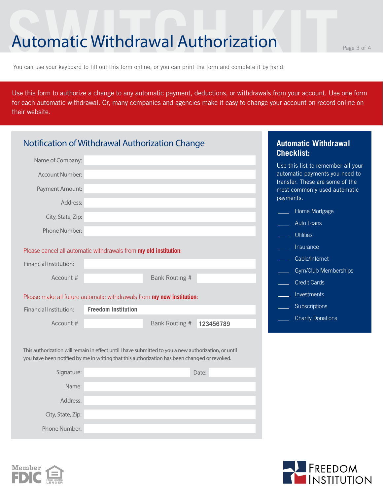#### **Automatic Withdrawal Authorization**

You can use your keyboard to fill out this form online, or you can print the form and complete it by hand.

Use this form to authorize a change to any automatic payment, deductions, or withdrawals from your account. Use one form for each automatic withdrawal. Or, many companies and agencies make it easy to change your account on record online on their website.

|                        | Notification of Withdrawal Authorization Change                                                                                                                                                      | <b>Automatic Withdrawal</b><br><b>Checklist:</b>                  |
|------------------------|------------------------------------------------------------------------------------------------------------------------------------------------------------------------------------------------------|-------------------------------------------------------------------|
| Name of Company:       |                                                                                                                                                                                                      | Use this list to remember all your                                |
| Account Number:        |                                                                                                                                                                                                      | automatic payments you need to<br>transfer. These are some of the |
| Payment Amount:        |                                                                                                                                                                                                      | most commonly used automatic<br>payments.                         |
| Address:               |                                                                                                                                                                                                      | Home Mortgage                                                     |
| City, State, Zip:      |                                                                                                                                                                                                      | Auto Loans                                                        |
| Phone Number:          |                                                                                                                                                                                                      |                                                                   |
|                        |                                                                                                                                                                                                      | <b>Utilities</b>                                                  |
|                        | Please cancel all automatic withdrawals from my old institution:                                                                                                                                     | Insurance                                                         |
| Financial Institution: |                                                                                                                                                                                                      | Cable/Internet                                                    |
| Account #              | Bank Routing #                                                                                                                                                                                       | Gym/Club Memberships                                              |
|                        |                                                                                                                                                                                                      | <b>Credit Cards</b>                                               |
|                        | Please make all future automatic withdrawals from my new institution:                                                                                                                                | Investments                                                       |
| Financial Institution: | <b>Freedom Institution</b>                                                                                                                                                                           | Subscriptions                                                     |
|                        |                                                                                                                                                                                                      | <b>Charity Donations</b>                                          |
| Account #              | Bank Routing #                                                                                                                                                                                       | 123456789                                                         |
|                        |                                                                                                                                                                                                      |                                                                   |
|                        | This authorization will remain in effect until I have submitted to you a new authorization, or until<br>you have been notified by me in writing that this authorization has been changed or revoked. |                                                                   |
| Signature:             | Date:                                                                                                                                                                                                |                                                                   |
| Name:                  |                                                                                                                                                                                                      |                                                                   |
|                        |                                                                                                                                                                                                      |                                                                   |
| Address:               |                                                                                                                                                                                                      |                                                                   |
| City, State, Zip:      |                                                                                                                                                                                                      |                                                                   |
| Phone Number:          |                                                                                                                                                                                                      |                                                                   |